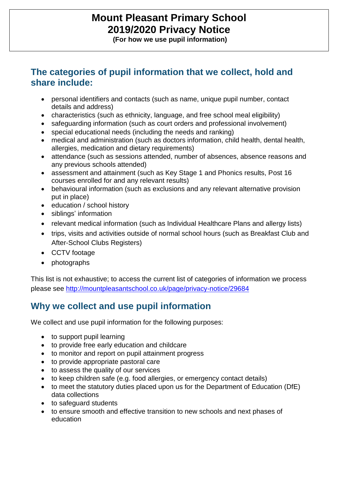# **Mount Pleasant Primary School 2019/2020 Privacy Notice**

**(For how we use pupil information)**

#### **The categories of pupil information that we collect, hold and share include:**

- personal identifiers and contacts (such as name, unique pupil number, contact details and address)
- characteristics (such as ethnicity, language, and free school meal eligibility)
- safeguarding information (such as court orders and professional involvement)
- special educational needs (including the needs and ranking)
- medical and administration (such as doctors information, child health, dental health, allergies, medication and dietary requirements)
- attendance (such as sessions attended, number of absences, absence reasons and any previous schools attended)
- assessment and attainment (such as Key Stage 1 and Phonics results, Post 16 courses enrolled for and any relevant results)
- behavioural information (such as exclusions and any relevant alternative provision put in place)
- education / school history
- siblings' information
- relevant medical information (such as Individual Healthcare Plans and allergy lists)
- trips, visits and activities outside of normal school hours (such as Breakfast Club and After-School Clubs Registers)
- CCTV footage
- photographs

This list is not exhaustive; to access the current list of categories of information we process please see <http://mountpleasantschool.co.uk/page/privacy-notice/29684>

## **Why we collect and use pupil information**

We collect and use pupil information for the following purposes:

- to support pupil learning
- to provide free early education and childcare
- to monitor and report on pupil attainment progress
- to provide appropriate pastoral care
- to assess the quality of our services
- to keep children safe (e.g. food allergies, or emergency contact details)
- to meet the statutory duties placed upon us for the Department of Education (DfE) data collections
- to safeguard students
- to ensure smooth and effective transition to new schools and next phases of education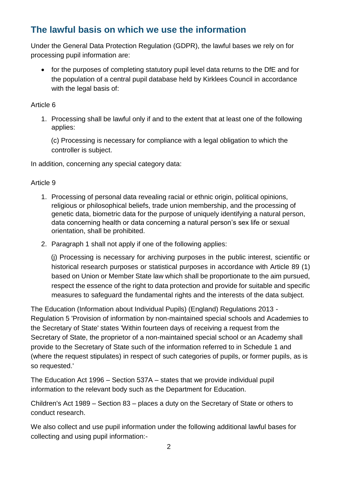## **The lawful basis on which we use the information**

Under the General Data Protection Regulation (GDPR), the lawful bases we rely on for processing pupil information are:

• for the purposes of completing statutory pupil level data returns to the DfE and for the population of a central pupil database held by Kirklees Council in accordance with the legal basis of:

#### Article 6

1. Processing shall be lawful only if and to the extent that at least one of the following applies:

(c) Processing is necessary for compliance with a legal obligation to which the controller is subject.

In addition, concerning any special category data:

#### Article 9

- 1. Processing of personal data revealing racial or ethnic origin, political opinions, religious or philosophical beliefs, trade union membership, and the processing of genetic data, biometric data for the purpose of uniquely identifying a natural person, data concerning health or data concerning a natural person's sex life or sexual orientation, shall be prohibited.
- 2. Paragraph 1 shall not apply if one of the following applies:

(j) Processing is necessary for archiving purposes in the public interest, scientific or historical research purposes or statistical purposes in accordance with Article 89 (1) based on Union or Member State law which shall be proportionate to the aim pursued, respect the essence of the right to data protection and provide for suitable and specific measures to safeguard the fundamental rights and the interests of the data subject.

The Education (Information about Individual Pupils) (England) Regulations 2013 - Regulation 5 'Provision of information by non-maintained special schools and Academies to the Secretary of State' states 'Within fourteen days of receiving a request from the Secretary of State, the proprietor of a non-maintained special school or an Academy shall provide to the Secretary of State such of the information referred to in Schedule 1 and (where the request stipulates) in respect of such categories of pupils, or former pupils, as is so requested.'

The Education Act 1996 – Section 537A – states that we provide individual pupil information to the relevant body such as the Department for Education.

Children's Act 1989 – Section 83 – places a duty on the Secretary of State or others to conduct research.

We also collect and use pupil information under the following additional lawful bases for collecting and using pupil information:-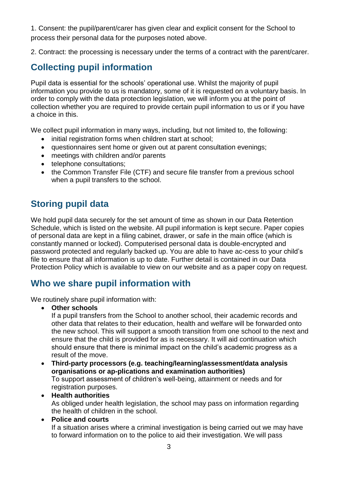1. Consent: the pupil/parent/carer has given clear and explicit consent for the School to process their personal data for the purposes noted above.

2. Contract: the processing is necessary under the terms of a contract with the parent/carer.

#### **Collecting pupil information**

Pupil data is essential for the schools' operational use. Whilst the majority of pupil information you provide to us is mandatory, some of it is requested on a voluntary basis. In order to comply with the data protection legislation, we will inform you at the point of collection whether you are required to provide certain pupil information to us or if you have a choice in this.

We collect pupil information in many ways, including, but not limited to, the following:

- initial registration forms when children start at school;
- questionnaires sent home or given out at parent consultation evenings;
- meetings with children and/or parents
- telephone consultations;
- the Common Transfer File (CTF) and secure file transfer from a previous school when a pupil transfers to the school.

#### **Storing pupil data**

We hold pupil data securely for the set amount of time as shown in our Data Retention Schedule, which is listed on the website. All pupil information is kept secure. Paper copies of personal data are kept in a filing cabinet, drawer, or safe in the main office (which is constantly manned or locked). Computerised personal data is double-encrypted and password protected and regularly backed up. You are able to have ac-cess to your child's file to ensure that all information is up to date. Further detail is contained in our Data Protection Policy which is available to view on our website and as a paper copy on request.

#### **Who we share pupil information with**

We routinely share pupil information with:

• **Other schools**

If a pupil transfers from the School to another school, their academic records and other data that relates to their education, health and welfare will be forwarded onto the new school. This will support a smooth transition from one school to the next and ensure that the child is provided for as is necessary. It will aid continuation which should ensure that there is minimal impact on the child's academic progress as a result of the move.

- **Third-party processors (e.g. teaching/learning/assessment/data analysis organisations or ap-plications and examination authorities)** To support assessment of children's well-being, attainment or needs and for registration purposes.
- **Health authorities** As obliged under health legislation, the school may pass on information regarding the health of children in the school.
- **Police and courts**

If a situation arises where a criminal investigation is being carried out we may have to forward information on to the police to aid their investigation. We will pass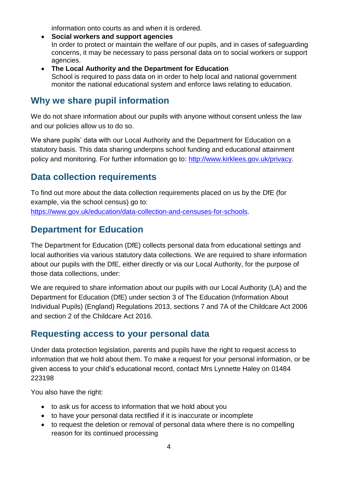information onto courts as and when it is ordered.

• **Social workers and support agencies**

In order to protect or maintain the welfare of our pupils, and in cases of safeguarding concerns, it may be necessary to pass personal data on to social workers or support agencies.

• **The Local Authority and the Department for Education** School is required to pass data on in order to help local and national government monitor the national educational system and enforce laws relating to education.

#### **Why we share pupil information**

We do not share information about our pupils with anyone without consent unless the law and our policies allow us to do so.

We share pupils' data with our Local Authority and the Department for Education on a statutory basis. This data sharing underpins school funding and educational attainment policy and monitoring. For further information go to: [http://www.kirklees.gov.uk/privacy.](http://www.kirklees.gov.uk/privacy)

### **Data collection requirements**

To find out more about the data collection requirements placed on us by the DfE (for example, via the school census) go to: [https://www.gov.uk/education/data-collection-and-censuses-for-schools.](https://www.gov.uk/education/data-collection-and-censuses-for-schools)

### **Department for Education**

The Department for Education (DfE) collects personal data from educational settings and local authorities via various statutory data collections. We are required to share information about our pupils with the DfE, either directly or via our Local Authority, for the purpose of those data collections, under:

We are required to share information about our pupils with our Local Authority (LA) and the Department for Education (DfE) under section 3 of The Education (Information About Individual Pupils) (England) Regulations 2013, sections 7 and 7A of the Childcare Act 2006 and section 2 of the Childcare Act 2016.

#### **Requesting access to your personal data**

Under data protection legislation, parents and pupils have the right to request access to information that we hold about them. To make a request for your personal information, or be given access to your child's educational record, contact Mrs Lynnette Haley on 01484 223198

You also have the right:

- to ask us for access to information that we hold about you
- to have your personal data rectified if it is inaccurate or incomplete
- to request the deletion or removal of personal data where there is no compelling reason for its continued processing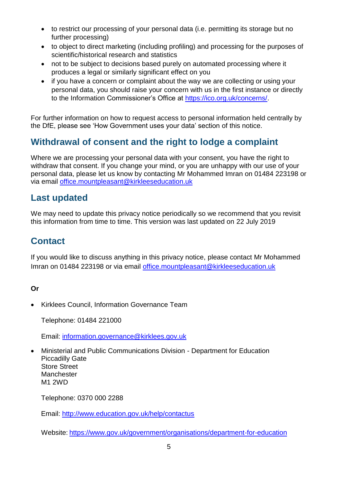- to restrict our processing of your personal data (i.e. permitting its storage but no further processing)
- to object to direct marketing (including profiling) and processing for the purposes of scientific/historical research and statistics
- not to be subject to decisions based purely on automated processing where it produces a legal or similarly significant effect on you
- if you have a concern or complaint about the way we are collecting or using your personal data, you should raise your concern with us in the first instance or directly to the Information Commissioner's Office at [https://ico.org.uk/concerns/.](https://ico.org.uk/concerns/)

For further information on how to request access to personal information held centrally by the DfE, please see 'How Government uses your data' section of this notice.

## **Withdrawal of consent and the right to lodge a complaint**

Where we are processing your personal data with your consent, you have the right to withdraw that consent. If you change your mind, or you are unhappy with our use of your personal data, please let us know by contacting Mr Mohammed Imran on 01484 223198 or via email [office.mountpleasant@kirkleeseducation.uk](mailto:office.mountpleasant@kirkleeseducation.uk)

## **Last updated**

We may need to update this privacy notice periodically so we recommend that you revisit this information from time to time. This version was last updated on 22 July 2019

## **Contact**

If you would like to discuss anything in this privacy notice, please contact Mr Mohammed Imran on 01484 223198 or via email [office.mountpleasant@kirkleeseducation.uk](mailto:office.mountpleasant@kirkleeseducation.uk)

#### **Or**

• Kirklees Council, Information Governance Team

Telephone: 01484 221000

Email: [information.governance@kirklees.gov.uk](mailto:information.governance@kirklees.gov.uk)

• Ministerial and Public Communications Division - Department for Education Piccadilly Gate Store Street **Manchester** M1 2WD

Telephone: 0370 000 2288

Email:<http://www.education.gov.uk/help/contactus>

Website: <https://www.gov.uk/government/organisations/department-for-education>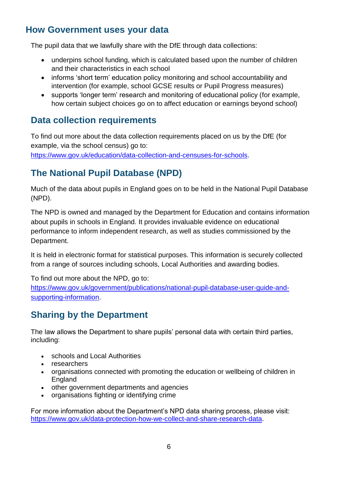### **How Government uses your data**

The pupil data that we lawfully share with the DfE through data collections:

- underpins school funding, which is calculated based upon the number of children and their characteristics in each school
- informs 'short term' education policy monitoring and school accountability and intervention (for example, school GCSE results or Pupil Progress measures)
- supports 'longer term' research and monitoring of educational policy (for example, how certain subject choices go on to affect education or earnings beyond school)

### **Data collection requirements**

To find out more about the data collection requirements placed on us by the DfE (for example, via the school census) go to:

[https://www.gov.uk/education/data-collection-and-censuses-for-schools.](https://www.gov.uk/education/data-collection-and-censuses-for-schools)

## **The National Pupil Database (NPD)**

Much of the data about pupils in England goes on to be held in the National Pupil Database (NPD).

The NPD is owned and managed by the Department for Education and contains information about pupils in schools in England. It provides invaluable evidence on educational performance to inform independent research, as well as studies commissioned by the Department.

It is held in electronic format for statistical purposes. This information is securely collected from a range of sources including schools, Local Authorities and awarding bodies.

To find out more about the NPD, go to:

[https://www.gov.uk/government/publications/national-pupil-database-user-guide-and](https://www.gov.uk/government/publications/national-pupil-database-user-guide-and-supporting-information)[supporting-information.](https://www.gov.uk/government/publications/national-pupil-database-user-guide-and-supporting-information)

## **Sharing by the Department**

The law allows the Department to share pupils' personal data with certain third parties, including:

- schools and Local Authorities
- researchers
- organisations connected with promoting the education or wellbeing of children in **England**
- other government departments and agencies
- organisations fighting or identifying crime

For more information about the Department's NPD data sharing process, please visit: [https://www.gov.uk/data-protection-how-we-collect-and-share-research-data.](https://www.gov.uk/data-protection-how-we-collect-and-share-research-data)